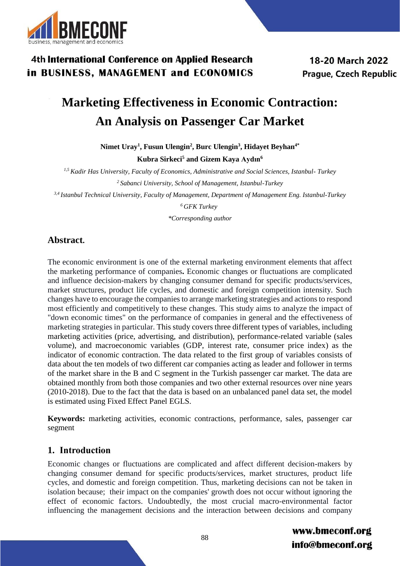

18-20 March 2022 **Prague, Czech Republic** 

# **Marketing Effectiveness in Economic Contraction: An Analysis on Passenger Car Market**

**Nimet Uray<sup>1</sup> , Fusun Ulengin<sup>2</sup> , Burc Ulengin<sup>3</sup> , Hidayet Beyhan4\***

**Kubra Sirkeci<sup>5</sup> and Gizem Kaya Aydın<sup>6</sup>**

*1,5 Kadir Has University, Faculty of Economics, Administrative and Social Sciences, Istanbul- Turkey <sup>2</sup>Sabanci University, School of Management, Istanbul-Turkey*

*3,4 Istanbul Technical University, Faculty of Management, Department of Management Eng. Istanbul-Turkey*

*<sup>6</sup>GFK Turkey*

*\*Corresponding author*

### **Abstract.**

The economic environment is one of the external marketing environment elements that affect the marketing performance of companies**.** Economic changes or fluctuations are complicated and influence decision-makers by changing consumer demand for specific products/services, market structures, product life cycles, and domestic and foreign competition intensity. Such changes have to encourage the companies to arrange marketing strategies and actions to respond most efficiently and competitively to these changes. This study aims to analyze the impact of "down economic times" on the performance of companies in general and the effectiveness of marketing strategies in particular. This study covers three different types of variables, including marketing activities (price, advertising, and distribution), performance-related variable (sales volume), and macroeconomic variables (GDP, interest rate, consumer price index) as the indicator of economic contraction. The data related to the first group of variables consists of data about the ten models of two different car companies acting as leader and follower in terms of the market share in the B and C segment in the Turkish passenger car market. The data are obtained monthly from both those companies and two other external resources over nine years (2010-2018). Due to the fact that the data is based on an unbalanced panel data set, the model is estimated using Fixed Effect Panel EGLS.

**Keywords:** marketing activities, economic contractions, performance, sales, passenger car segment

### **1. Introduction**

Economic changes or fluctuations are complicated and affect different decision-makers by changing consumer demand for specific products/services, market structures, product life cycles, and domestic and foreign competition. Thus, marketing decisions can not be taken in isolation because; their impact on the companies' growth does not occur without ignoring the effect of economic factors. Undoubtedly, the most crucial macro-environmental factor influencing the management decisions and the interaction between decisions and company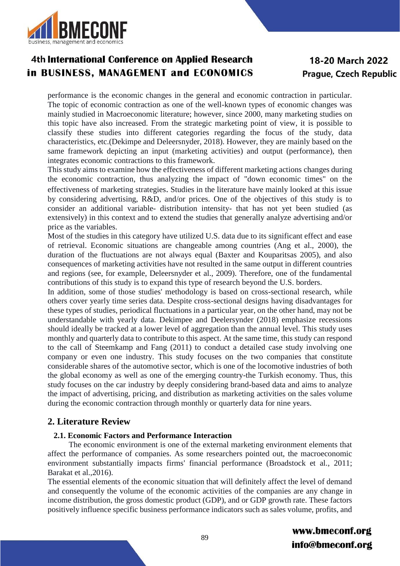

## 18-20 March 2022 Prague, Czech Republic

performance is the economic changes in the general and economic contraction in particular. The topic of economic contraction as one of the well-known types of economic changes was mainly studied in Macroeconomic literature; however, since 2000, many marketing studies on this topic have also increased. From the strategic marketing point of view, it is possible to classify these studies into different categories regarding the focus of the study, data characteristics, etc.(Dekimpe and Deleersnyder, 2018). However, they are mainly based on the same framework depicting an input (marketing activities) and output (performance), then integrates economic contractions to this framework.

This study aims to examine how the effectiveness of different marketing actions changes during the economic contraction, thus analyzing the impact of "down economic times" on the effectiveness of marketing strategies. Studies in the literature have mainly looked at this issue by considering advertising, R&D, and/or prices. One of the objectives of this study is to consider an additional variable- distribution intensity- that has not yet been studied (as extensively) in this context and to extend the studies that generally analyze advertising and/or price as the variables.

Most of the studies in this category have utilized U.S. data due to its significant effect and ease of retrieval. Economic situations are changeable among countries (Ang et al., 2000), the duration of the fluctuations are not always equal (Baxter and Kouparitsas 2005), and also consequences of marketing activities have not resulted in the same output in different countries and regions (see, for example, Deleersnyder et al., 2009). Therefore, one of the fundamental contributions of this study is to expand this type of research beyond the U.S. borders.

In addition, some of those studies' methodology is based on cross-sectional research, while others cover yearly time series data. Despite cross-sectional designs having disadvantages for these types of studies, periodical fluctuations in a particular year, on the other hand, may not be understandable with yearly data. Dekimpee and Deelersynder (2018) emphasize recessions should ideally be tracked at a lower level of aggregation than the annual level. This study uses monthly and quarterly data to contribute to this aspect. At the same time, this study can respond to the call of Steemkamp and Fang (2011) to conduct a detailed case study involving one company or even one industry. This study focuses on the two companies that constitute considerable shares of the automotive sector, which is one of the locomotive industries of both the global economy as well as one of the emerging country-the Turkish economy. Thus, this study focuses on the car industry by deeply considering brand-based data and aims to analyze the impact of advertising, pricing, and distribution as marketing activities on the sales volume during the economic contraction through monthly or quarterly data for nine years.

### **2. Literature Review**

#### **2.1. Economic Factors and Performance Interaction**

 The economic environment is one of the external marketing environment elements that affect the performance of companies. As some researchers pointed out, the macroeconomic environment substantially impacts firms' financial performance (Broadstock et al., 2011; Barakat et al.,2016).

The essential elements of the economic situation that will definitely affect the level of demand and consequently the volume of the economic activities of the companies are any change in income distribution, the gross domestic product (GDP), and or GDP growth rate. These factors positively influence specific business performance indicators such as sales volume, profits, and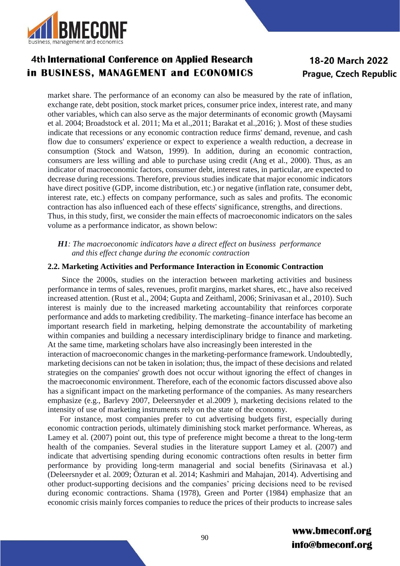

### 18-20 March 2022 Prague, Czech Republic

market share. The performance of an economy can also be measured by the rate of inflation, exchange rate, debt position, stock market prices, consumer price index, interest rate, and many other variables, which can also serve as the major determinants of economic growth (Maysami et al. 2004; Broadstock et al. 2011; Ma et al.,2011; Barakat et al.,2016; ). Most of these studies indicate that recessions or any economic contraction reduce firms' demand, revenue, and cash flow due to consumers' experience or expect to experience a wealth reduction, a decrease in consumption (Stock and Watson, 1999). In addition, during an economic contraction, consumers are less willing and able to purchase using credit (Ang et al., 2000). Thus, as an indicator of macroeconomic factors, consumer debt, interest rates, in particular, are expected to decrease during recessions. Therefore, previous studies indicate that major economic indicators have direct positive (GDP, income distribution, etc.) or negative (inflation rate, consumer debt, interest rate, etc.) effects on company performance, such as sales and profits. The economic contraction has also influenced each of these effects' significance, strengths, and directions. Thus, in this study, first, we consider the main effects of macroeconomic indicators on the sales volume as a performance indicator, as shown below:

 *H1: The macroeconomic indicators have a direct effect on business performance and this effect change during the economic contraction*

#### **2.2. Marketing Activities and Performance Interaction in Economic Contraction**

 Since the 2000s, studies on the interaction between marketing activities and business performance in terms of sales, revenues, profit margins, market shares, etc., have also received increased attention. (Rust et al., 2004; Gupta and Zeithaml, 2006; Srinivasan et al., 2010). Such interest is mainly due to the increased marketing accountability that reinforces corporate performance and adds to marketing credibility. The marketing–finance interface has become an important research field in marketing, helping demonstrate the accountability of marketing within companies and building a necessary interdisciplinary bridge to finance and marketing. At the same time, marketing scholars have also increasingly been interested in the

interaction of macroeconomic changes in the marketing-performance framework. Undoubtedly, marketing decisions can not be taken in isolation; thus, the impact of these decisions and related strategies on the companies' growth does not occur without ignoring the effect of changes in the macroeconomic environment. Therefore, each of the economic factors discussed above also has a significant impact on the marketing performance of the companies. As many researchers emphasize (e.g., Barlevy 2007, Deleersnyder et al.2009 ), marketing decisions related to the intensity of use of marketing instruments rely on the state of the economy.

 For instance, most companies prefer to cut advertising budgets first, especially during economic contraction periods, ultimately diminishing stock market performance. Whereas, as Lamey et al. (2007) point out, this type of preference might become a threat to the long-term health of the companies. Several studies in the literature support Lamey et al. (2007) and indicate that advertising spending during economic contractions often results in better firm performance by providing long-term managerial and social benefits (Sirinavasa et al.) (Deleersnyder et al. 2009; Özturan et al. 2014; Kashmiri and Mahajan, 2014). Advertising and other product-supporting decisions and the companies' pricing decisions need to be revised during economic contractions. Shama (1978), Green and Porter (1984) emphasize that an economic crisis mainly forces companies to reduce the prices of their products to increase sales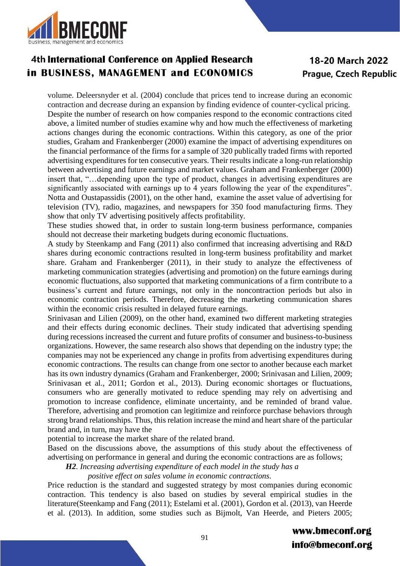

## 18-20 March 2022 Prague, Czech Republic

volume. Deleersnyder et al. (2004) conclude that prices tend to increase during an economic contraction and decrease during an expansion by finding evidence of counter-cyclical pricing. Despite the number of research on how companies respond to the economic contractions cited above, a limited number of studies examine why and how much the effectiveness of marketing actions changes during the economic contractions. Within this category, as one of the prior studies, Graham and Frankenberger (2000) examine the impact of advertising expenditures on the financial performance of the firms for a sample of 320 publically traded firms with reported advertising expenditures for ten consecutive years. Their results indicate a long-run relationship between advertising and future earnings and market values. Graham and Frankenberger (2000) insert that, "…depending upon the type of product, changes in advertising expenditures are significantly associated with earnings up to 4 years following the year of the expenditures". Notta and Oustapassidis (2001), on the other hand, examine the asset value of advertising for television (TV), radio, magazines, and newspapers for 350 food manufacturing firms. They show that only TV advertising positively affects profitability.

These studies showed that, in order to sustain long-term business performance, companies should not decrease their marketing budgets during economic fluctuations.

A study by Steenkamp and Fang (2011) also confirmed that increasing advertising and R&D shares during economic contractions resulted in long-term business profitability and market share. Graham and Frankenberger (2011), in their study to analyze the effectiveness of marketing communication strategies (advertising and promotion) on the future earnings during economic fluctuations, also supported that marketing communications of a firm contribute to a business's current and future earnings, not only in the noncontraction periods but also in economic contraction periods. Therefore, decreasing the marketing communication shares within the economic crisis resulted in delayed future earnings.

Srinivasan and Lilien (2009), on the other hand, examined two different marketing strategies and their effects during economic declines. Their study indicated that advertising spending during recessions increased the current and future profits of consumer and business-to-business organizations. However, the same research also shows that depending on the industry type; the companies may not be experienced any change in profits from advertising expenditures during economic contractions. The results can change from one sector to another because each market has its own industry dynamics (Graham and Frankenberger, 2000; Srinivasan and Lilien, 2009; Srinivasan et al., 2011; Gordon et al., 2013). During economic shortages or fluctuations, consumers who are generally motivated to reduce spending may rely on advertising and promotion to increase confidence, eliminate uncertainty, and be reminded of brand value. Therefore, advertising and promotion can legitimize and reinforce purchase behaviors through strong brand relationships. Thus, this relation increase the mind and heart share of the particular brand and, in turn, may have the

potential to increase the market share of the related brand.

Based on the discussions above, the assumptions of this study about the effectiveness of advertising on performance in general and during the economic contractions are as follows;

 *H2. Increasing advertising expenditure of each model in the study has a*

 *positive effect on sales volume in economic contractions.*

Price reduction is the standard and suggested strategy by most companies during economic contraction. This tendency is also based on studies by several empirical studies in the literature(Steenkamp and Fang (2011); Estelami et al. (2001), Gordon et al. (2013), van Heerde et al. (2013). In addition, some studies such as Bijmolt, Van Heerde, and Pieters 2005;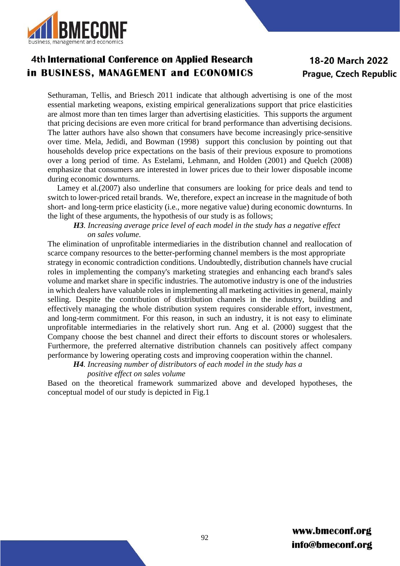

### 18-20 March 2022 **Prague, Czech Republic**

Sethuraman, Tellis, and Briesch 2011 indicate that although advertising is one of the most essential marketing weapons, existing empirical generalizations support that price elasticities are almost more than ten times larger than advertising elasticities. This supports the argument that pricing decisions are even more critical for brand performance than advertising decisions. The latter authors have also shown that consumers have become increasingly price-sensitive over time. Mela, Jedidi, and Bowman (1998) support this conclusion by pointing out that households develop price expectations on the basis of their previous exposure to promotions over a long period of time. As Estelami, Lehmann, and Holden (2001) and Quelch (2008) emphasize that consumers are interested in lower prices due to their lower disposable income during economic downturns.

Lamey et al.(2007) also underline that consumers are looking for price deals and tend to switch to lower-priced retail brands. We, therefore, expect an increase in the magnitude of both short- and long-term price elasticity (i.e., more negative value) during economic downturns. In the light of these arguments, the hypothesis of our study is as follows;

#### *H3. Increasing average price level of each model in the study has a negative effect on sales volume.*

The elimination of unprofitable intermediaries in the distribution channel and reallocation of scarce company resources to the better-performing channel members is the most appropriate strategy in economic contradiction conditions. Undoubtedly, distribution channels have crucial roles in implementing the company's marketing strategies and enhancing each brand's sales volume and market share in specific industries. The automotive industry is one of the industries in which dealers have valuable roles in implementing all marketing activities in general, mainly selling. Despite the contribution of distribution channels in the industry, building and effectively managing the whole distribution system requires considerable effort, investment, and long-term commitment. For this reason, in such an industry, it is not easy to eliminate unprofitable intermediaries in the relatively short run. Ang et al. (2000) suggest that the Company choose the best channel and direct their efforts to discount stores or wholesalers. Furthermore, the preferred alternative distribution channels can positively affect company performance by lowering operating costs and improving cooperation within the channel.

 *H4. Increasing number of distributors of each model in the study has a*

### *positive effect on sales volume*

Based on the theoretical framework summarized above and developed hypotheses, the conceptual model of our study is depicted in Fig.1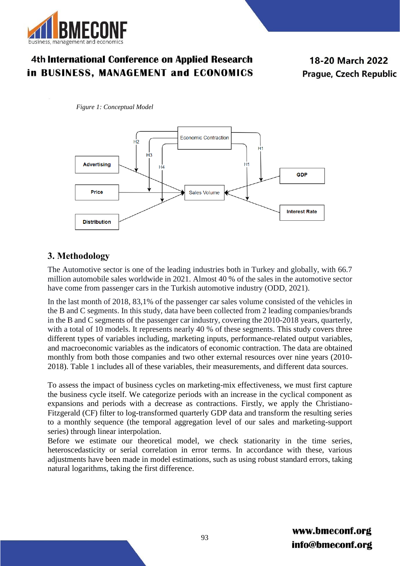

18-20 March 2022 Prague, Czech Republic

*Figure 1: Conceptual Model*



### **3. Methodology**

The Automotive sector is one of the leading industries both in Turkey and globally, with 66.7 million automobile sales worldwide in 2021. Almost 40 % of the sales in the automotive sector have come from passenger cars in the Turkish automotive industry (ODD, 2021).

In the last month of 2018, 83,1% of the passenger car sales volume consisted of the vehicles in the B and C segments. In this study, data have been collected from 2 leading companies/brands in the B and C segments of the passenger car industry, covering the 2010-2018 years, quarterly, with a total of 10 models. It represents nearly 40 % of these segments. This study covers three different types of variables including, marketing inputs, performance-related output variables, and macroeconomic variables as the indicators of economic contraction. The data are obtained monthly from both those companies and two other external resources over nine years (2010- 2018). Table 1 includes all of these variables, their measurements, and different data sources.

To assess the impact of business cycles on marketing-mix effectiveness, we must first capture the business cycle itself. We categorize periods with an increase in the cyclical component as expansions and periods with a decrease as contractions. Firstly, we apply the Christiano-Fitzgerald (CF) filter to log-transformed quarterly GDP data and transform the resulting series to a monthly sequence (the temporal aggregation level of our sales and marketing-support series) through linear interpolation.

Before we estimate our theoretical model, we check stationarity in the time series, heteroscedasticity or serial correlation in error terms. In accordance with these, various adjustments have been made in model estimations, such as using robust standard errors, taking natural logarithms, taking the first difference.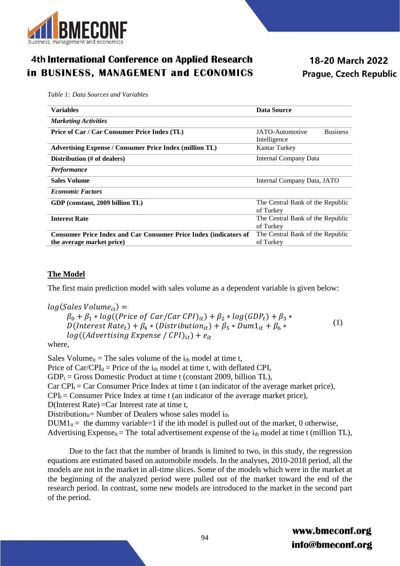

18-20 March 2022 Prague, Czech Republic

*Table 1: Data Sources and Variables*

| <b>Variables</b>                                                        | <b>Data Source</b>                 |  |
|-------------------------------------------------------------------------|------------------------------------|--|
| <b>Marketing Activities</b>                                             |                                    |  |
| Price of Car / Car Consumer Price Index (TL)                            | <b>Business</b><br>JATO-Automotive |  |
|                                                                         | Intelligence                       |  |
| <b>Advertising Expense / Consumer Price Index (million TL)</b>          | Kantar Turkey                      |  |
| Distribution (# of dealers)                                             | <b>Internal Company Data</b>       |  |
| <i>Performance</i>                                                      |                                    |  |
| <b>Sales Volume</b>                                                     | Internal Company Data, JATO        |  |
| <b>Economic Factors</b>                                                 |                                    |  |
| GDP (constant, 2009 billion TL)                                         | The Central Bank of the Republic   |  |
|                                                                         | of Turkey                          |  |
| <b>Interest Rate</b>                                                    | The Central Bank of the Republic   |  |
|                                                                         | of Turkey                          |  |
| <b>Consumer Price Index and Car Consumer Price Index (indicators of</b> | The Central Bank of the Republic   |  |
| the average market price)                                               | of Turkey                          |  |
|                                                                         |                                    |  |

#### **The Model**

The first main prediction model with sales volume as a dependent variable is given below:

 $log(Sales Volume_{it}) =$  $\beta_0 + \beta_1 * log((Price \ of \ Car/Car \ CPU)_{it}) + \beta_2 * log(GDP_t) + \beta_3 *$ D(Interest Rate<sub>t</sub>) +  $\beta_4$  \* (Distribution<sub>it</sub>) +  $\beta_5$  \* Dum1<sub>it</sub> +  $\beta_6$  \*  $log((Advertising\) Expense / CPI)_{it}) + e_{it}$ (1)

where,

Sales Volume<sub>it</sub> = The sales volume of the  $i_{th}$  model at time t, Price of Car/CPI<sub>it</sub> = Price of the  $i_{th}$  model at time t, with deflated CPI,  $GDP_t = Gross$  Domestic Product at time t (constant 2009, billion TL),  $Car CPI<sub>t</sub> = Car Consumer Price Index at time t (an indicator of the average market price),$  $CPI_t =$  Consumer Price Index at time t (an indicator of the average market price), D(Interest Rate) =Car Interest rate at time t, Distribution<sub>it</sub>= Number of Dealers whose sales model  $i_{th}$  $DUM1_{it}$  = the dummy variable = 1 if the ith model is pulled out of the market, 0 otherwise, Advertising Expense<sub>it</sub> = The total advertisement expense of the  $i_{th}$  model at time t (million TL),

 Due to the fact that the number of brands is limited to two, in this study, the regression equations are estimated based on automobile models. In the analyses, 2010-2018 period, all the models are not in the market in all-time slices. Some of the models which were in the market at the beginning of the analyzed period were pulled out of the market toward the end of the research period. In contrast, some new models are introduced to the market in the second part of the period.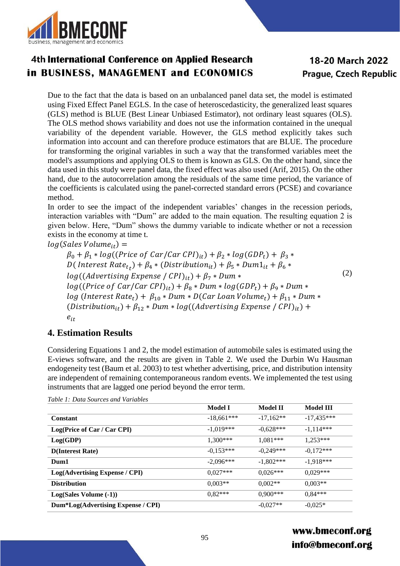

## 18-20 March 2022 Prague, Czech Republic

Due to the fact that the data is based on an unbalanced panel data set, the model is estimated using Fixed Effect Panel EGLS. In the case of heteroscedasticity, the generalized least squares (GLS) method is BLUE (Best Linear Unbiased Estimator), not ordinary least squares (OLS). The OLS method shows variability and does not use the information contained in the unequal variability of the dependent variable. However, the GLS method explicitly takes such information into account and can therefore produce estimators that are BLUE. The procedure for transforming the original variables in such a way that the transformed variables meet the model's assumptions and applying OLS to them is known as GLS. On the other hand, since the data used in this study were panel data, the fixed effect was also used (Arif, 2015). On the other hand, due to the autocorrelation among the residuals of the same time period, the variance of the coefficients is calculated using the panel-corrected standard errors (PCSE) and covariance method.

In order to see the impact of the independent variables' changes in the recession periods, interaction variables with "Dum" are added to the main equation. The resulting equation 2 is given below. Here, "Dum" shows the dummy variable to indicate whether or not a recession exists in the economy at time t.

 $log(Sales Volume_{it}) =$ 

 $\beta_0 + \beta_1 * log((Price \ of \ Car/Car \ CPU)_{it}) + \beta_2 * log(GDP_t) + \beta_3 *$ D( Interest  $Rate_{t}$ ) +  $\beta_4$  \* (Distribution<sub>it</sub>) +  $\beta_5$  \* Dum $1_{it}$  +  $\beta_6$  \*  $log((Adverting\ Expression)$  =  $f (CPI)_{it}$  +  $\beta_7 * Dum *$  $log((Price of Car/Car CPI)_{it}) + \beta_8 * Dum * log(GDP_t) + \beta_9 * Dum *$  $log (Interest Rate_t) + \beta_{10} * Dum * D(Car Loan Volume_t) + \beta_{11} * Dum *$ (Distribution<sub>it</sub>) +  $\beta_{12} *$  Dum  $*$  log((Advertising Expense / CPI)<sub>it</sub>) +  $e_{it}$ (2)

### **4. Estimation Results**

Considering Equations 1 and 2, the model estimation of automobile sales is estimated using the E-views software, and the results are given in Table 2. We used the Durbin Wu Hausman endogeneity test (Baum et al. 2003) to test whether advertising, price, and distribution intensity are independent of remaining contemporaneous random events. We implemented the test using instruments that are lagged one period beyond the error term.

|                                    | <b>Model I</b> | Model II    | Model III    |
|------------------------------------|----------------|-------------|--------------|
| <b>Constant</b>                    | $-18,661***$   | $-17,162**$ | $-17,435***$ |
| Log(Price of Car / Car CPI)        | $-1.019***$    | $-0.628***$ | $-1,114***$  |
| Log(GDP)                           | $1.300***$     | $1.081***$  | $1.253***$   |
| <b>D</b> (Interest Rate)           | $-0.153***$    | $-0.249***$ | $-0.172***$  |
| Dum1                               | $-2.096***$    | $-1.802***$ | $-1.918***$  |
| Log(Advertising Expense / CPI)     | $0.027***$     | $0.026***$  | $0.029***$   |
| <b>Distribution</b>                | $0.003**$      | $0.002**$   | $0.003**$    |
| $Log(Sales Volume (-1))$           | $0.82***$      | $0.900$ *** | $0.84***$    |
| Dum*Log(Advertising Expense / CPI) |                | $-0.027**$  | $-0.025*$    |

*Table 1: Data Sources and Variables*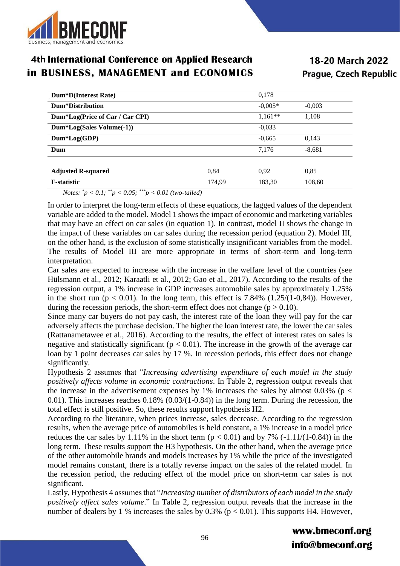

18-20 March 2022 Prague, Czech Republic

| Dum*D(Interest Rate)            |        | 0,178     |          |
|---------------------------------|--------|-----------|----------|
| Dum*Distribution                |        | $-0.005*$ | $-0,003$ |
| Dum*Log(Price of Car / Car CPI) |        | $1,161**$ | 1,108    |
| Dum*Log(Sales Volume(-1))       |        | $-0,033$  |          |
| $Dum*Log(GDP)$                  |        | $-0.665$  | 0,143    |
| Dum                             |        | 7.176     | $-8,681$ |
|                                 |        |           |          |
| <b>Adjusted R-squared</b>       | 0.84   | 0.92      | 0.85     |
| <b>F</b> -statistic             | 174.99 | 183,30    | 108,60   |

 *Notes: \*p < 0.1; \*\*p < 0.05; \*\*\*p < 0.01 (two-tailed)*

In order to interpret the long-term effects of these equations, the lagged values of the dependent variable are added to the model. Model 1 shows the impact of economic and marketing variables that may have an effect on car sales (in equation 1). In contrast, model II shows the change in the impact of these variables on car sales during the recession period (equation 2). Model III, on the other hand, is the exclusion of some statistically insignificant variables from the model. The results of Model III are more appropriate in terms of short-term and long-term interpretation.

Car sales are expected to increase with the increase in the welfare level of the countries (see Hülsmann et al., 2012; Karaatli et al., 2012; Gao et al., 2017). According to the results of the regression output, a 1% increase in GDP increases automobile sales by approximately 1.25% in the short run ( $p < 0.01$ ). In the long term, this effect is 7.84% (1.25/(1-0,84)). However, during the recession periods, the short-term effect does not change ( $p > 0.10$ ).

Since many car buyers do not pay cash, the interest rate of the loan they will pay for the car adversely affects the purchase decision. The higher the loan interest rate, the lower the car sales (Rattanametawee et al., 2016). According to the results, the effect of interest rates on sales is negative and statistically significant ( $p < 0.01$ ). The increase in the growth of the average car loan by 1 point decreases car sales by 17 %. In recession periods, this effect does not change significantly.

Hypothesis 2 assumes that "*Increasing advertising expenditure of each model in the study positively affects volume in economic contractions*. In Table 2, regression output reveals that the increase in the advertisement expenses by 1% increases the sales by almost 0.03% ( $p <$ 0.01). This increases reaches  $0.18\%$  ( $0.03/(1-0.84)$ ) in the long term. During the recession, the total effect is still positive. So, these results support hypothesis H2.

According to the literature, when prices increase, sales decrease. According to the regression results, when the average price of automobiles is held constant, a 1% increase in a model price reduces the car sales by 1.11% in the short term  $(p < 0.01)$  and by 7% (-1.11/(1-0.84)) in the long term. These results support the H3 hypothesis. On the other hand, when the average price of the other automobile brands and models increases by 1% while the price of the investigated model remains constant, there is a totally reverse impact on the sales of the related model. In the recession period, the reducing effect of the model price on short-term car sales is not significant.

Lastly, Hypothesis 4 assumes that "*Increasing number of distributors of each model in the study positively affect sales volume.*" In Table 2, regression output reveals that the increase in the number of dealers by 1 % increases the sales by 0.3% ( $p < 0.01$ ). This supports H4. However,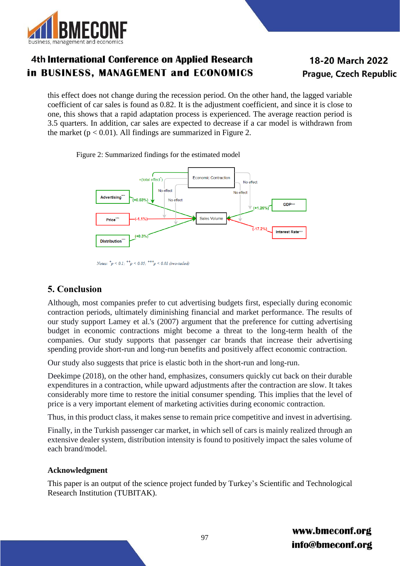

## 18-20 March 2022 **Prague, Czech Republic**

this effect does not change during the recession period. On the other hand, the lagged variable coefficient of car sales is found as 0.82. It is the adjustment coefficient, and since it is close to one, this shows that a rapid adaptation process is experienced. The average reaction period is 3.5 quarters. In addition, car sales are expected to decrease if a car model is withdrawn from the market ( $p < 0.01$ ). All findings are summarized in Figure 2.

Figure 2: Summarized findings for the estimated model



Notes:  ${}^*p$  < 0.1;  ${}^{**}p$  < 0.05;  ${}^{***}p$  < 0.01 (two-tailed)

### **5. Conclusion**

Although, most companies prefer to cut advertising budgets first, especially during economic contraction periods, ultimately diminishing financial and market performance. The results of our study support Lamey et al.'s (2007) argument that the preference for cutting advertising budget in economic contractions might become a threat to the long-term health of the companies. Our study supports that passenger car brands that increase their advertising spending provide short-run and long-run benefits and positively affect economic contraction.

Our study also suggests that price is elastic both in the short-run and long-run.

Deekimpe (2018), on the other hand, emphasizes, consumers quickly cut back on their durable expenditures in a contraction, while upward adjustments after the contraction are slow. It takes considerably more time to restore the initial consumer spending. This implies that the level of price is a very important element of marketing activities during economic contraction.

Thus, in this product class, it makes sense to remain price competitive and invest in advertising.

Finally, in the Turkish passenger car market, in which sell of cars is mainly realized through an extensive dealer system, distribution intensity is found to positively impact the sales volume of each brand/model.

### **Acknowledgment**

This paper is an output of the science project funded by Turkey's Scientific and Technological Research Institution (TUBITAK).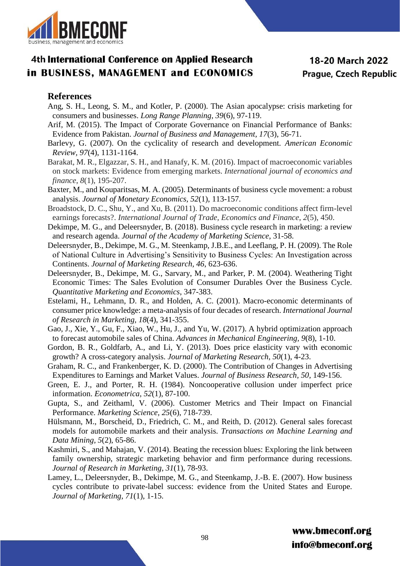

#### **References**

- Ang, S. H., Leong, S. M., and Kotler, P. (2000). The Asian apocalypse: crisis marketing for consumers and businesses. *Long Range Planning, 39*(6), 97-119.
- Arif, M. (2015). The Impact of Corporate Governance on Financial Performance of Banks: Evidence from Pakistan. *Journal of Business and Management, 17*(3), 56-71.
- Barlevy, G. (2007). On the cyclicality of research and development. *American Economic Review, 97*(4), 1131-1164.
- Barakat, M. R., Elgazzar, S. H., and Hanafy, K. M. (2016). Impact of macroeconomic variables on stock markets: Evidence from emerging markets. *International journal of economics and finance*, *8*(1), 195-207.
- Baxter, M., and Kouparitsas, M. A. (2005). Determinants of business cycle movement: a robust analysis. *Journal of Monetary Economics, 52*(1), 113-157.
- Broadstock, D. C., Shu, Y., and Xu, B. (2011). Do macroeconomic conditions affect firm-level earnings forecasts?. *International Journal of Trade, Economics and Finance*, *2*(5), 450.
- Dekimpe, M. G., and Deleersnyder, B. (2018). Business cycle research in marketing: a review and research agenda. *Journal of the Academy of Marketing Science*, 31-58.
- Deleersnyder, B., Dekimpe, M. G., M. Steenkamp, J.B.E., and Leeflang, P. H. (2009). The Role of National Culture in Advertising's Sensitivity to Business Cycles: An Investigation across Continents. *Journal of Marketing Research, 46*, 623-636.
- Deleersnyder, B., Dekimpe, M. G., Sarvary, M., and Parker, P. M. (2004). Weathering Tight Economic Times: The Sales Evolution of Consumer Durables Over the Business Cycle. *Quantitative Marketing and Economics*, 347-383.
- Estelami, H., Lehmann, D. R., and Holden, A. C. (2001). Macro-economic determinants of consumer price knowledge: a meta-analysis of four decades of research. *International Journal of Research in Marketing, 18*(4), 341-355.
- Gao, J., Xie, Y., Gu, F., Xiao, W., Hu, J., and Yu, W. (2017). A hybrid optimization approach to forecast automobile sales of China. *Advances in Mechanical Engineering, 9*(8), 1-10.
- Gordon, B. R., Goldfarb, A., and Li, Y. (2013). Does price elasticity vary with economic growth? A cross-category analysis. *Journal of Marketing Research, 50*(1), 4-23.
- Graham, R. C., and Frankenberger, K. D. (2000). The Contribution of Changes in Advertising Expenditures to Earnings and Market Values. *Journal of Business Research, 50*, 149-156.
- Green, E. J., and Porter, R. H. (1984). Noncooperative collusion under imperfect price information. *Econometrica, 52*(1), 87-100.
- Gupta, S., and Zeithaml, V. (2006). Customer Metrics and Their Impact on Financial Performance. *Marketing Science, 25*(6), 718-739.
- Hülsmann, M., Borscheid, D., Friedrich, C. M., and Reith, D. (2012). General sales forecast models for automobile markets and their analysis. *Transactions on Machine Learning and Data Mining, 5*(2), 65-86.
- Kashmiri, S., and Mahajan, V. (2014). Beating the recession blues: Exploring the link between family ownership, strategic marketing behavior and firm performance during recessions. *Journal of Research in Marketing, 31*(1), 78-93.
- Lamey, L., Deleersnyder, B., Dekimpe, M. G., and Steenkamp, J.-B. E. (2007). How business cycles contribute to private-label success: evidence from the United States and Europe. *Journal of Marketing, 71*(1), 1-15.